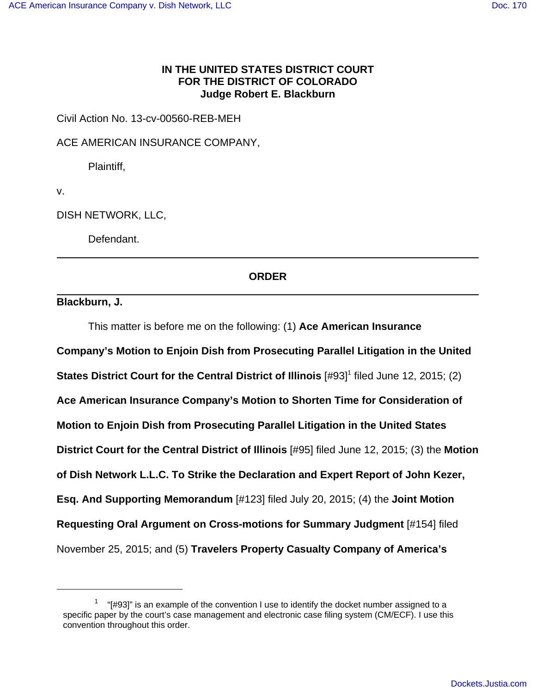## **IN THE UNITED STATES DISTRICT COURT FOR THE DISTRICT OF COLORADO Judge Robert E. Blackburn**

Civil Action No. 13-cv-00560-REB-MEH

ACE AMERICAN INSURANCE COMPANY,

Plaintiff,

v.

DISH NETWORK, LLC,

Defendant.

## **ORDER**

**Blackburn, J.**

This matter is before me on the following: (1) **Ace American Insurance Company's Motion to Enjoin Dish from Prosecuting Parallel Litigation in the United States District Court for the Central District of Illinois** [#93]<sup>1</sup> filed June 12, 2015; (2) **Ace American Insurance Company's Motion to Shorten Time for Consideration of Motion to Enjoin Dish from Prosecuting Parallel Litigation in the United States District Court for the Central District of Illinois** [#95] filed June 12, 2015; (3) the **Motion of Dish Network L.L.C. To Strike the Declaration and Expert Report of John Kezer, Esq. And Supporting Memorandum** [#123] filed July 20, 2015; (4) the **Joint Motion Requesting Oral Argument on Cross-motions for Summary Judgment** [#154] filed November 25, 2015; and (5) **Travelers Property Casualty Company of America's**

 $1$  "[#93]" is an example of the convention I use to identify the docket number assigned to a specific paper by the court's case management and electronic case filing system (CM/ECF). I use this convention throughout this order.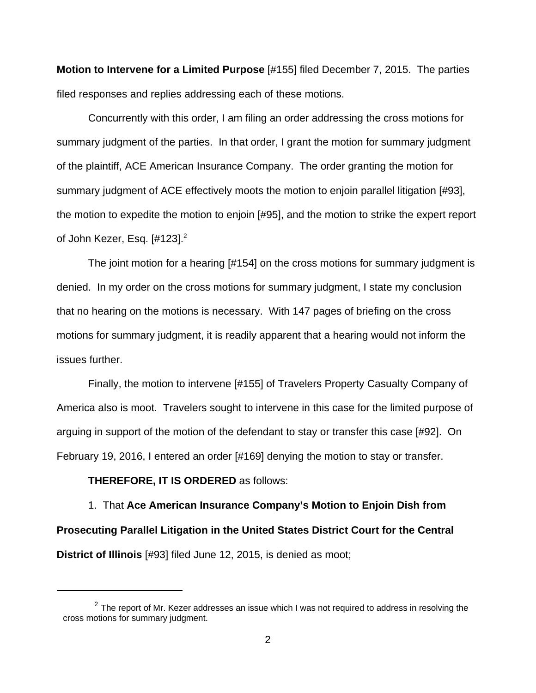**Motion to Intervene for a Limited Purpose** [#155] filed December 7, 2015. The parties filed responses and replies addressing each of these motions.

Concurrently with this order, I am filing an order addressing the cross motions for summary judgment of the parties. In that order, I grant the motion for summary judgment of the plaintiff, ACE American Insurance Company. The order granting the motion for summary judgment of ACE effectively moots the motion to enjoin parallel litigation [#93], the motion to expedite the motion to enjoin [#95], and the motion to strike the expert report of John Kezer, Esq.  $[#123].^2$ 

The joint motion for a hearing [#154] on the cross motions for summary judgment is denied. In my order on the cross motions for summary judgment, I state my conclusion that no hearing on the motions is necessary. With 147 pages of briefing on the cross motions for summary judgment, it is readily apparent that a hearing would not inform the issues further.

Finally, the motion to intervene [#155] of Travelers Property Casualty Company of America also is moot. Travelers sought to intervene in this case for the limited purpose of arguing in support of the motion of the defendant to stay or transfer this case [#92]. On February 19, 2016, I entered an order [#169] denying the motion to stay or transfer.

## **THEREFORE, IT IS ORDERED** as follows:

1. That **Ace American Insurance Company's Motion to Enjoin Dish from Prosecuting Parallel Litigation in the United States District Court for the Central District of Illinois** [#93] filed June 12, 2015, is denied as moot;

 $^{2}$  The report of Mr. Kezer addresses an issue which I was not required to address in resolving the cross motions for summary judgment.